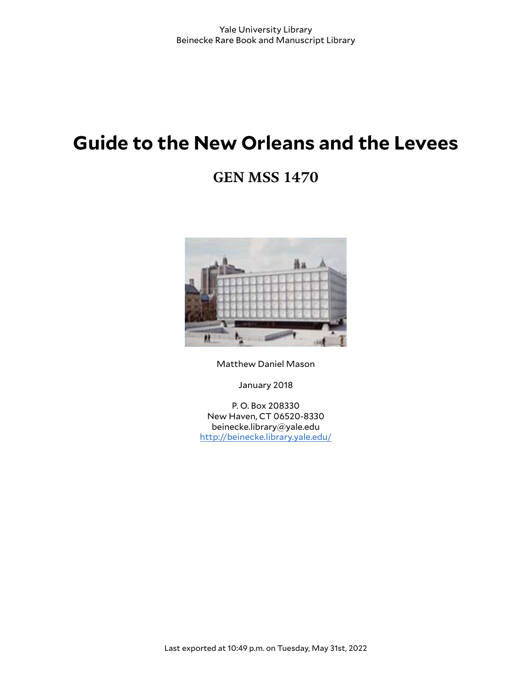# **Guide to the New Orleans and the Levees**

# **GEN MSS 1470**



Matthew Daniel Mason

January 2018

P. O. Box 208330 New Haven, CT 06520-8330 beinecke.library@yale.edu <http://beinecke.library.yale.edu/>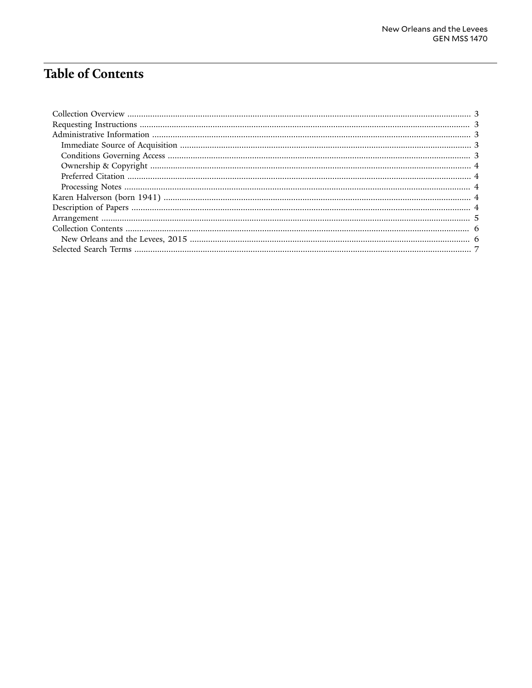## **Table of Contents**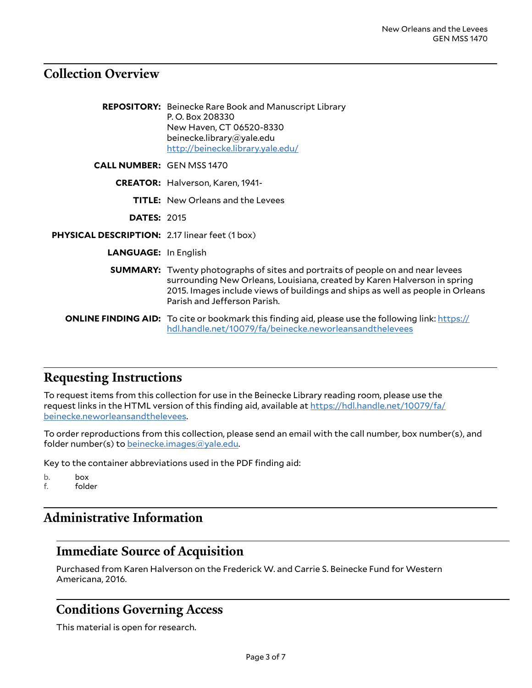### <span id="page-2-0"></span>**Collection Overview**

|                                                       | <b>REPOSITORY:</b> Beinecke Rare Book and Manuscript Library<br>P.O. Box 208330<br>New Haven, CT 06520-8330<br>beinecke.library@yale.edu<br>http://beinecke.library.yale.edu/                                                                                                        |
|-------------------------------------------------------|--------------------------------------------------------------------------------------------------------------------------------------------------------------------------------------------------------------------------------------------------------------------------------------|
| <b>CALL NUMBER: GEN MSS 1470</b>                      |                                                                                                                                                                                                                                                                                      |
|                                                       | <b>CREATOR:</b> Halverson, Karen, 1941-                                                                                                                                                                                                                                              |
|                                                       | <b>TITLE:</b> New Orleans and the Levees                                                                                                                                                                                                                                             |
| <b>DATES: 2015</b>                                    |                                                                                                                                                                                                                                                                                      |
| <b>PHYSICAL DESCRIPTION: 2.17 linear feet (1 box)</b> |                                                                                                                                                                                                                                                                                      |
| <b>LANGUAGE: In English</b>                           |                                                                                                                                                                                                                                                                                      |
|                                                       | <b>SUMMARY:</b> Twenty photographs of sites and portraits of people on and near levees<br>surrounding New Orleans, Louisiana, created by Karen Halverson in spring<br>2015. Images include views of buildings and ships as well as people in Orleans<br>Parish and Jefferson Parish. |
|                                                       | <b>ONLINE FINDING AID:</b> To cite or bookmark this finding aid, please use the following link: https://<br>hdl.handle.net/10079/fa/beinecke.neworleansandthelevees                                                                                                                  |

### <span id="page-2-1"></span>**Requesting Instructions**

To request items from this collection for use in the Beinecke Library reading room, please use the request links in the HTML version of this finding aid, available at [https://hdl.handle.net/10079/fa/](https://hdl.handle.net/10079/fa/beinecke.neworleansandthelevees) [beinecke.neworleansandthelevees.](https://hdl.handle.net/10079/fa/beinecke.neworleansandthelevees)

To order reproductions from this collection, please send an email with the call number, box number(s), and folder number(s) to [beinecke.images@yale.edu.](mailto:beinecke.images@yale.edu)

Key to the container abbreviations used in the PDF finding aid:

b. box

f. folder

### <span id="page-2-2"></span>**Administrative Information**

### <span id="page-2-3"></span>**Immediate Source of Acquisition**

Purchased from Karen Halverson on the Frederick W. and Carrie S. Beinecke Fund for Western Americana, 2016.

### <span id="page-2-4"></span>**Conditions Governing Access**

This material is open for research.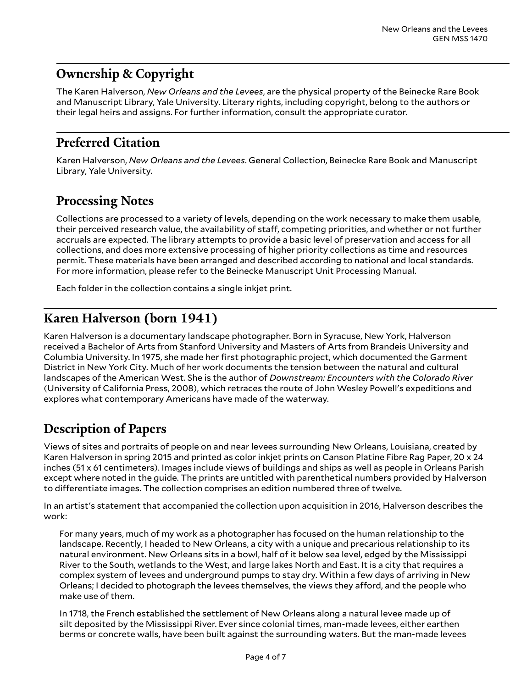### <span id="page-3-0"></span>**Ownership & Copyright**

The Karen Halverson, *New Orleans and the Levees*, are the physical property of the Beinecke Rare Book and Manuscript Library, Yale University. Literary rights, including copyright, belong to the authors or their legal heirs and assigns. For further information, consult the appropriate curator.

### <span id="page-3-1"></span>**Preferred Citation**

Karen Halverson, *New Orleans and the Levees*. General Collection, Beinecke Rare Book and Manuscript Library, Yale University.

### <span id="page-3-2"></span>**Processing Notes**

Collections are processed to a variety of levels, depending on the work necessary to make them usable, their perceived research value, the availability of staff, competing priorities, and whether or not further accruals are expected. The library attempts to provide a basic level of preservation and access for all collections, and does more extensive processing of higher priority collections as time and resources permit. These materials have been arranged and described according to national and local standards. For more information, please refer to the Beinecke Manuscript Unit Processing Manual.

Each folder in the collection contains a single inkjet print.

### <span id="page-3-3"></span>**Karen Halverson (born 1941)**

Karen Halverson is a documentary landscape photographer. Born in Syracuse, New York, Halverson received a Bachelor of Arts from Stanford University and Masters of Arts from Brandeis University and Columbia University. In 1975, she made her first photographic project, which documented the Garment District in New York City. Much of her work documents the tension between the natural and cultural landscapes of the American West. She is the author of *Downstream: Encounters with the Colorado River* (University of California Press, 2008), which retraces the route of John Wesley Powell's expeditions and explores what contemporary Americans have made of the waterway.

### <span id="page-3-4"></span>**Description of Papers**

Views of sites and portraits of people on and near levees surrounding New Orleans, Louisiana, created by Karen Halverson in spring 2015 and printed as color inkjet prints on Canson Platine Fibre Rag Paper, 20 x 24 inches (51 x 61 centimeters). Images include views of buildings and ships as well as people in Orleans Parish except where noted in the guide. The prints are untitled with parenthetical numbers provided by Halverson to differentiate images. The collection comprises an edition numbered three of twelve.

In an artist's statement that accompanied the collection upon acquisition in 2016, Halverson describes the work:

For many years, much of my work as a photographer has focused on the human relationship to the landscape. Recently, I headed to New Orleans, a city with a unique and precarious relationship to its natural environment. New Orleans sits in a bowl, half of it below sea level, edged by the Mississippi River to the South, wetlands to the West, and large lakes North and East. It is a city that requires a complex system of levees and underground pumps to stay dry. Within a few days of arriving in New Orleans; I decided to photograph the levees themselves, the views they afford, and the people who make use of them.

In 1718, the French established the settlement of New Orleans along a natural levee made up of silt deposited by the Mississippi River. Ever since colonial times, man-made levees, either earthen berms or concrete walls, have been built against the surrounding waters. But the man-made levees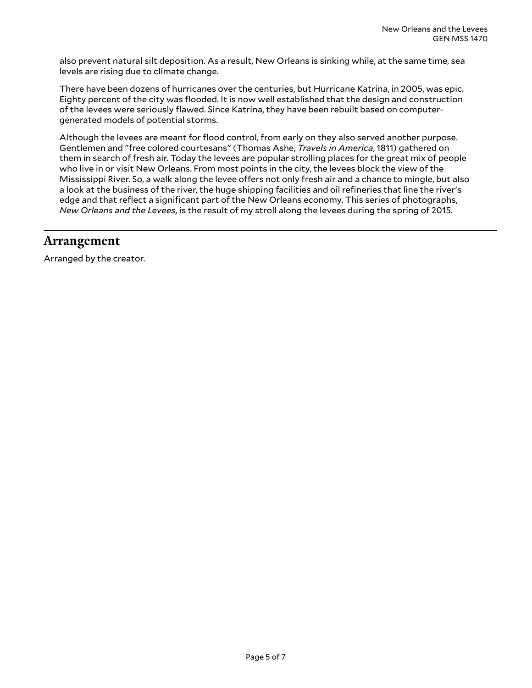also prevent natural silt deposition. As a result, New Orleans is sinking while, at the same time, sea levels are rising due to climate change.

There have been dozens of hurricanes over the centuries, but Hurricane Katrina, in 2005, was epic. Eighty percent of the city was flooded. It is now well established that the design and construction of the levees were seriously flawed. Since Katrina, they have been rebuilt based on computergenerated models of potential storms.

Although the levees are meant for flood control, from early on they also served another purpose. Gentlemen and "free colored courtesans" (Thomas Ashe, *Travels in America*, 1811) gathered on them in search of fresh air. Today the levees are popular strolling places for the great mix of people who live in or visit New Orleans. From most points in the city, the levees block the view of the Mississippi River. So, a walk along the levee offers not only fresh air and a chance to mingle, but also a look at the business of the river, the huge shipping facilities and oil refineries that line the river's edge and that reflect a significant part of the New Orleans economy. This series of photographs, *New Orleans and the Levees*, is the result of my stroll along the levees during the spring of 2015.

#### <span id="page-4-0"></span>**Arrangement**

Arranged by the creator.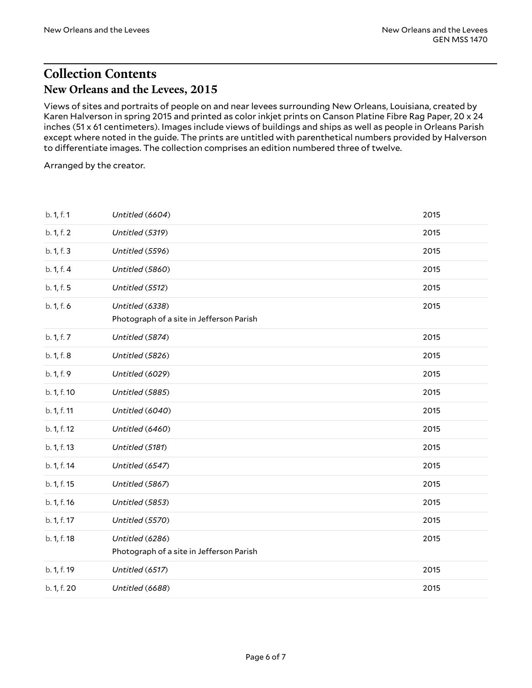### <span id="page-5-1"></span><span id="page-5-0"></span>**Collection Contents New Orleans and the Levees, 2015**

Views of sites and portraits of people on and near levees surrounding New Orleans, Louisiana, created by Karen Halverson in spring 2015 and printed as color inkjet prints on Canson Platine Fibre Rag Paper, 20 x 24 inches (51 x 61 centimeters). Images include views of buildings and ships as well as people in Orleans Parish except where noted in the guide. The prints are untitled with parenthetical numbers provided by Halverson to differentiate images. The collection comprises an edition numbered three of twelve.

Arranged by the creator.

| b. 1, f. 1  | Untitled (6604)                                             | 2015 |
|-------------|-------------------------------------------------------------|------|
| b. 1, f. 2  | Untitled (5319)                                             | 2015 |
| b. 1, f. 3  | Untitled (5596)                                             | 2015 |
| b. 1, f. 4  | Untitled (5860)                                             | 2015 |
| b. 1, f. 5  | Untitled (5512)                                             | 2015 |
| b. 1, f. 6  | Untitled (6338)<br>Photograph of a site in Jefferson Parish | 2015 |
| b. 1, f. 7  | Untitled (5874)                                             | 2015 |
| b. 1, f. 8  | Untitled (5826)                                             | 2015 |
| b. 1, f. 9  | Untitled (6029)                                             | 2015 |
| b. 1, f. 10 | Untitled (5885)                                             | 2015 |
| b. 1, f. 11 | Untitled (6040)                                             | 2015 |
| b. 1, f. 12 | Untitled (6460)                                             | 2015 |
| b. 1, f. 13 | Untitled (5181)                                             | 2015 |
| b. 1, f. 14 | Untitled (6547)                                             | 2015 |
| b. 1, f. 15 | Untitled (5867)                                             | 2015 |
| b. 1, f. 16 | Untitled (5853)                                             | 2015 |
| b. 1, f. 17 | Untitled (5570)                                             | 2015 |
| b. 1, f. 18 | Untitled (6286)<br>Photograph of a site in Jefferson Parish | 2015 |
| b. 1, f. 19 | Untitled (6517)                                             | 2015 |
| b. 1, f. 20 | Untitled (6688)                                             | 2015 |